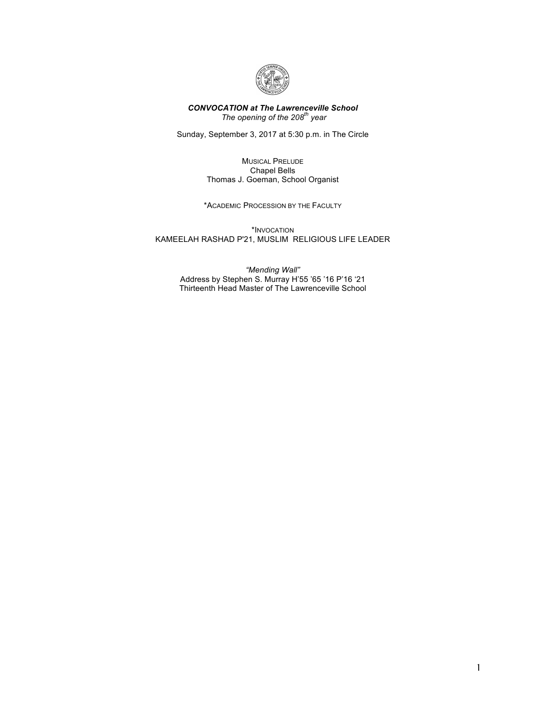

## *CONVOCATION at The Lawrenceville School The opening of the 208th year*

Sunday, September 3, 2017 at 5:30 p.m. in The Circle

MUSICAL PRELUDE Chapel Bells Thomas J. Goeman, School Organist

\*ACADEMIC PROCESSION BY THE FACULTY

\*INVOCATION KAMEELAH RASHAD P'21, MUSLIM RELIGIOUS LIFE LEADER

> *"Mending Wall"* Address by Stephen S. Murray H'55 '65 '16 P'16 '21 Thirteenth Head Master of The Lawrenceville School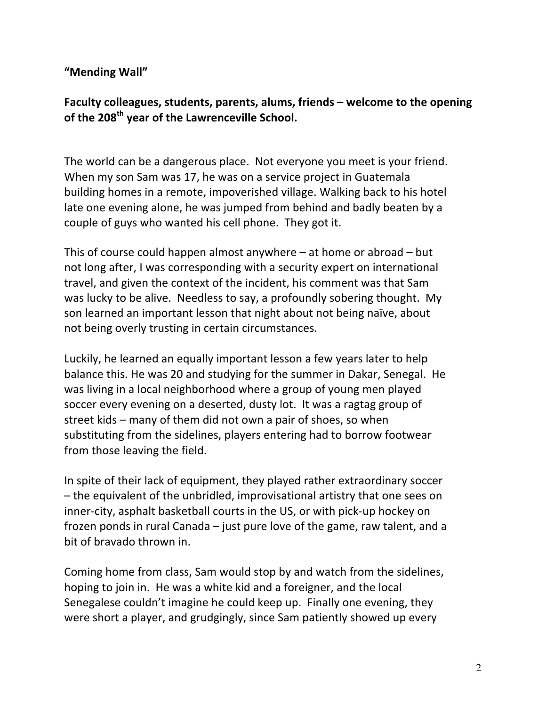## **"Mending Wall"**

Faculty colleagues, students, parents, alums, friends – welcome to the opening of the 208<sup>th</sup> year of the Lawrenceville School.

The world can be a dangerous place. Not everyone you meet is your friend. When my son Sam was 17, he was on a service project in Guatemala building homes in a remote, impoverished village. Walking back to his hotel late one evening alone, he was jumped from behind and badly beaten by a couple of guys who wanted his cell phone. They got it.

This of course could happen almost anywhere  $-$  at home or abroad  $-$  but not long after, I was corresponding with a security expert on international travel, and given the context of the incident, his comment was that Sam was lucky to be alive. Needless to say, a profoundly sobering thought. My son learned an important lesson that night about not being naïve, about not being overly trusting in certain circumstances.

Luckily, he learned an equally important lesson a few years later to help balance this. He was 20 and studying for the summer in Dakar, Senegal. He was living in a local neighborhood where a group of young men played soccer every evening on a deserted, dusty lot. It was a ragtag group of street kids – many of them did not own a pair of shoes, so when substituting from the sidelines, players entering had to borrow footwear from those leaving the field.

In spite of their lack of equipment, they played rather extraordinary soccer  $-$  the equivalent of the unbridled, improvisational artistry that one sees on inner-city, asphalt basketball courts in the US, or with pick-up hockey on frozen ponds in rural Canada – just pure love of the game, raw talent, and a bit of bravado thrown in.

Coming home from class, Sam would stop by and watch from the sidelines, hoping to join in. He was a white kid and a foreigner, and the local Senegalese couldn't imagine he could keep up. Finally one evening, they were short a player, and grudgingly, since Sam patiently showed up every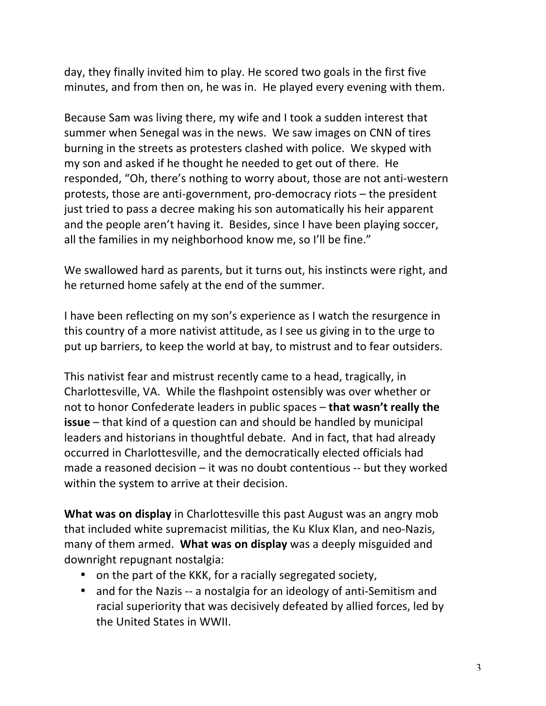day, they finally invited him to play. He scored two goals in the first five minutes, and from then on, he was in. He played every evening with them.

Because Sam was living there, my wife and I took a sudden interest that summer when Senegal was in the news. We saw images on CNN of tires burning in the streets as protesters clashed with police. We skyped with my son and asked if he thought he needed to get out of there. He responded, "Oh, there's nothing to worry about, those are not anti-western protests, those are anti-government, pro-democracy riots  $-$  the president just tried to pass a decree making his son automatically his heir apparent and the people aren't having it. Besides, since I have been playing soccer, all the families in my neighborhood know me, so I'll be fine."

We swallowed hard as parents, but it turns out, his instincts were right, and he returned home safely at the end of the summer.

I have been reflecting on my son's experience as I watch the resurgence in this country of a more nativist attitude, as I see us giving in to the urge to put up barriers, to keep the world at bay, to mistrust and to fear outsiders.

This nativist fear and mistrust recently came to a head, tragically, in Charlottesville, VA. While the flashpoint ostensibly was over whether or not to honor Confederate leaders in public spaces – that wasn't really the **issue** – that kind of a question can and should be handled by municipal leaders and historians in thoughtful debate. And in fact, that had already occurred in Charlottesville, and the democratically elected officials had made a reasoned decision  $-$  it was no doubt contentious  $-$  but they worked within the system to arrive at their decision.

**What was on display** in Charlottesville this past August was an angry mob that included white supremacist militias, the Ku Klux Klan, and neo-Nazis, many of them armed. What was on display was a deeply misguided and downright repugnant nostalgia:

- on the part of the KKK, for a racially segregated society,
- and for the Nazis -- a nostalgia for an ideology of anti-Semitism and racial superiority that was decisively defeated by allied forces, led by the United States in WWII.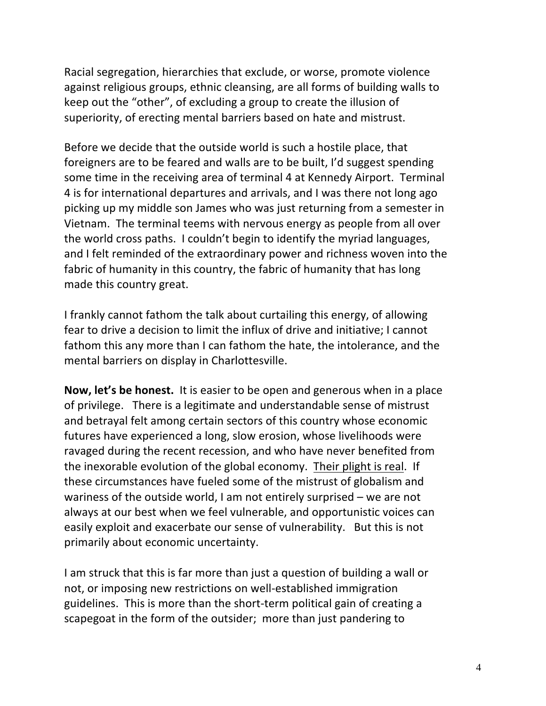Racial segregation, hierarchies that exclude, or worse, promote violence against religious groups, ethnic cleansing, are all forms of building walls to keep out the "other", of excluding a group to create the illusion of superiority, of erecting mental barriers based on hate and mistrust.

Before we decide that the outside world is such a hostile place, that foreigners are to be feared and walls are to be built, I'd suggest spending some time in the receiving area of terminal 4 at Kennedy Airport. Terminal 4 is for international departures and arrivals, and I was there not long ago picking up my middle son James who was just returning from a semester in Vietnam. The terminal teems with nervous energy as people from all over the world cross paths. I couldn't begin to identify the myriad languages, and I felt reminded of the extraordinary power and richness woven into the fabric of humanity in this country, the fabric of humanity that has long made this country great.

I frankly cannot fathom the talk about curtailing this energy, of allowing fear to drive a decision to limit the influx of drive and initiative; I cannot fathom this any more than I can fathom the hate, the intolerance, and the mental barriers on display in Charlottesville.

**Now, let's be honest.** It is easier to be open and generous when in a place of privilege. There is a legitimate and understandable sense of mistrust and betrayal felt among certain sectors of this country whose economic futures have experienced a long, slow erosion, whose livelihoods were ravaged during the recent recession, and who have never benefited from the inexorable evolution of the global economy. Their plight is real. If these circumstances have fueled some of the mistrust of globalism and wariness of the outside world, I am not entirely surprised  $-$  we are not always at our best when we feel vulnerable, and opportunistic voices can easily exploit and exacerbate our sense of vulnerability. But this is not primarily about economic uncertainty.

I am struck that this is far more than just a question of building a wall or not, or imposing new restrictions on well-established immigration guidelines. This is more than the short-term political gain of creating a scapegoat in the form of the outsider; more than just pandering to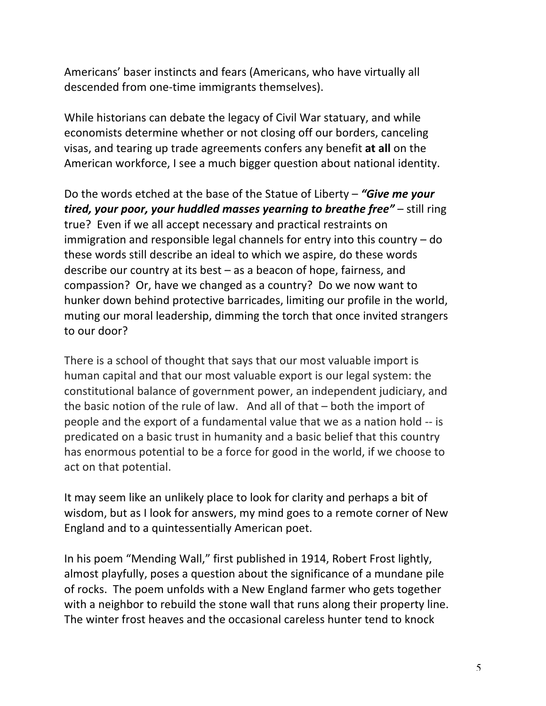Americans' baser instincts and fears (Americans, who have virtually all descended from one-time immigrants themselves).

While historians can debate the legacy of Civil War statuary, and while economists determine whether or not closing off our borders, canceling visas, and tearing up trade agreements confers any benefit at all on the American workforce, I see a much bigger question about national identity.

Do the words etched at the base of the Statue of Liberty – "**Give me your** *tired, your poor, your huddled masses yearning to breathe free"* – still ring true? Even if we all accept necessary and practical restraints on immigration and responsible legal channels for entry into this country  $-$  do these words still describe an ideal to which we aspire, do these words describe our country at its best  $-$  as a beacon of hope, fairness, and compassion? Or, have we changed as a country? Do we now want to hunker down behind protective barricades, limiting our profile in the world, muting our moral leadership, dimming the torch that once invited strangers to our door?

There is a school of thought that says that our most valuable import is human capital and that our most valuable export is our legal system: the constitutional balance of government power, an independent judiciary, and the basic notion of the rule of law. And all of that  $-$  both the import of people and the export of a fundamental value that we as a nation hold -- is predicated on a basic trust in humanity and a basic belief that this country has enormous potential to be a force for good in the world, if we choose to act on that potential.

It may seem like an unlikely place to look for clarity and perhaps a bit of wisdom, but as I look for answers, my mind goes to a remote corner of New England and to a quintessentially American poet.

In his poem "Mending Wall," first published in 1914, Robert Frost lightly, almost playfully, poses a question about the significance of a mundane pile of rocks. The poem unfolds with a New England farmer who gets together with a neighbor to rebuild the stone wall that runs along their property line. The winter frost heaves and the occasional careless hunter tend to knock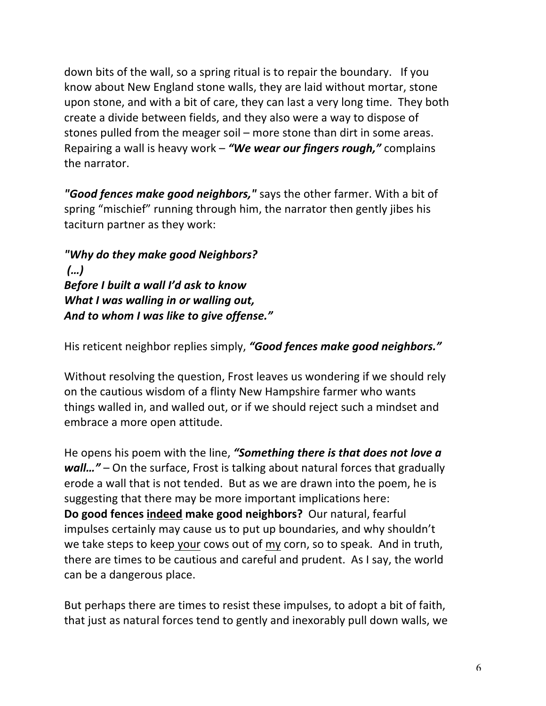down bits of the wall, so a spring ritual is to repair the boundary. If you know about New England stone walls, they are laid without mortar, stone upon stone, and with a bit of care, they can last a very long time. They both create a divide between fields, and they also were a way to dispose of stones pulled from the meager soil – more stone than dirt in some areas. Repairing a wall is heavy work - "We wear our fingers rough," complains the narrator.

**"Good fences make good neighbors,"** says the other farmer. With a bit of spring "mischief" running through him, the narrator then gently jibes his taciturn partner as they work:

*"Why do they make good Neighbors? (…) Before I built a wall I'd ask to know What I was walling in or walling out,* And to whom I was like to give offense."

His reticent neighbor replies simply, "**Good fences make good neighbors.**"

Without resolving the question, Frost leaves us wondering if we should rely on the cautious wisdom of a flinty New Hampshire farmer who wants things walled in, and walled out, or if we should reject such a mindset and embrace a more open attitude.

He opens his poem with the line, "Something there is that does not love a *wall..."* – On the surface, Frost is talking about natural forces that gradually erode a wall that is not tended. But as we are drawn into the poem, he is suggesting that there may be more important implications here: **Do good fences indeed make good neighbors?** Our natural, fearful impulses certainly may cause us to put up boundaries, and why shouldn't we take steps to keep your cows out of my corn, so to speak. And in truth, there are times to be cautious and careful and prudent. As I say, the world can be a dangerous place.

But perhaps there are times to resist these impulses, to adopt a bit of faith, that just as natural forces tend to gently and inexorably pull down walls, we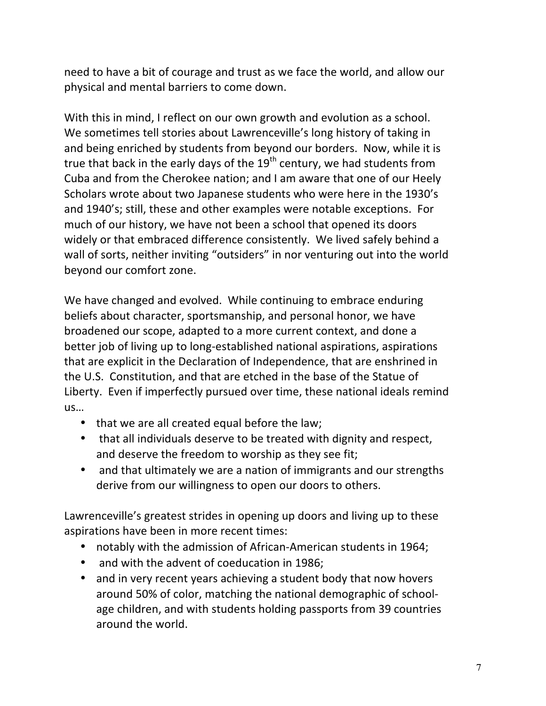need to have a bit of courage and trust as we face the world, and allow our physical and mental barriers to come down.

With this in mind, I reflect on our own growth and evolution as a school. We sometimes tell stories about Lawrenceville's long history of taking in and being enriched by students from beyond our borders. Now, while it is true that back in the early days of the  $19<sup>th</sup>$  century, we had students from Cuba and from the Cherokee nation; and I am aware that one of our Heely Scholars wrote about two Japanese students who were here in the 1930's and 1940's; still, these and other examples were notable exceptions. For much of our history, we have not been a school that opened its doors widely or that embraced difference consistently. We lived safely behind a wall of sorts, neither inviting "outsiders" in nor venturing out into the world beyond our comfort zone.

We have changed and evolved. While continuing to embrace enduring beliefs about character, sportsmanship, and personal honor, we have broadened our scope, adapted to a more current context, and done a better job of living up to long-established national aspirations, aspirations that are explicit in the Declaration of Independence, that are enshrined in the U.S. Constitution, and that are etched in the base of the Statue of Liberty. Even if imperfectly pursued over time, these national ideals remind us… 

- that we are all created equal before the law;
- that all individuals deserve to be treated with dignity and respect, and deserve the freedom to worship as they see fit;
- and that ultimately we are a nation of immigrants and our strengths derive from our willingness to open our doors to others.

Lawrenceville's greatest strides in opening up doors and living up to these aspirations have been in more recent times:

- notably with the admission of African-American students in 1964;
- and with the advent of coeducation in 1986;
- and in very recent years achieving a student body that now hovers around 50% of color, matching the national demographic of schoolage children, and with students holding passports from 39 countries around the world.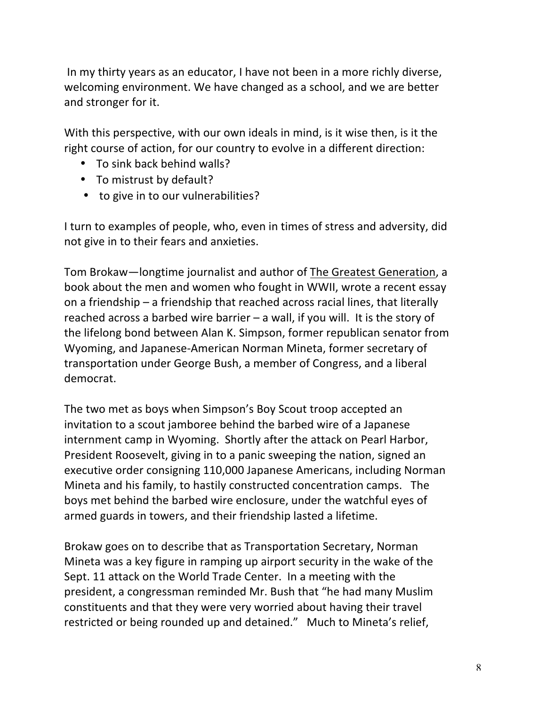In my thirty years as an educator, I have not been in a more richly diverse, welcoming environment. We have changed as a school, and we are better and stronger for it.

With this perspective, with our own ideals in mind, is it wise then, is it the right course of action, for our country to evolve in a different direction:

- To sink back behind walls?
- To mistrust by default?
- to give in to our vulnerabilities?

I turn to examples of people, who, even in times of stress and adversity, did not give in to their fears and anxieties.

Tom Brokaw—longtime journalist and author of The Greatest Generation, a book about the men and women who fought in WWII, wrote a recent essay on a friendship  $-$  a friendship that reached across racial lines, that literally reached across a barbed wire barrier  $-$  a wall, if you will. It is the story of the lifelong bond between Alan K. Simpson, former republican senator from Wyoming, and Japanese-American Norman Mineta, former secretary of transportation under George Bush, a member of Congress, and a liberal democrat. 

The two met as boys when Simpson's Boy Scout troop accepted an invitation to a scout jamboree behind the barbed wire of a Japanese internment camp in Wyoming. Shortly after the attack on Pearl Harbor, President Roosevelt, giving in to a panic sweeping the nation, signed an executive order consigning 110,000 Japanese Americans, including Norman Mineta and his family, to hastily constructed concentration camps. The boys met behind the barbed wire enclosure, under the watchful eyes of armed guards in towers, and their friendship lasted a lifetime.

Brokaw goes on to describe that as Transportation Secretary, Norman Mineta was a key figure in ramping up airport security in the wake of the Sept. 11 attack on the World Trade Center. In a meeting with the president, a congressman reminded Mr. Bush that "he had many Muslim constituents and that they were very worried about having their travel restricted or being rounded up and detained." Much to Mineta's relief,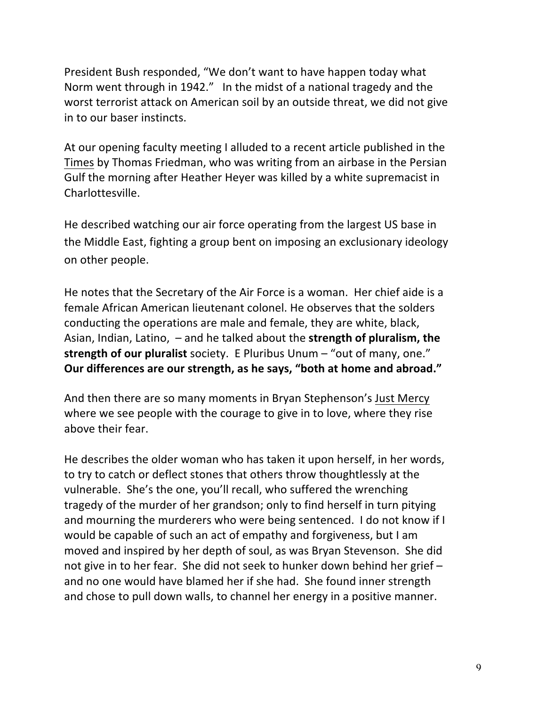President Bush responded, "We don't want to have happen today what Norm went through in 1942." In the midst of a national tragedy and the worst terrorist attack on American soil by an outside threat, we did not give in to our baser instincts.

At our opening faculty meeting I alluded to a recent article published in the Times by Thomas Friedman, who was writing from an airbase in the Persian Gulf the morning after Heather Heyer was killed by a white supremacist in Charlottesville. 

He described watching our air force operating from the largest US base in the Middle East, fighting a group bent on imposing an exclusionary ideology on other people.

He notes that the Secretary of the Air Force is a woman. Her chief aide is a female African American lieutenant colonel. He observes that the solders conducting the operations are male and female, they are white, black, Asian, Indian, Latino,  $-$  and he talked about the **strength of pluralism, the strength of our pluralist** society. E Pluribus Unum – "out of many, one." Our differences are our strength, as he says, "both at home and abroad."

And then there are so many moments in Bryan Stephenson's Just Mercy where we see people with the courage to give in to love, where they rise above their fear.

He describes the older woman who has taken it upon herself, in her words, to try to catch or deflect stones that others throw thoughtlessly at the vulnerable. She's the one, you'll recall, who suffered the wrenching tragedy of the murder of her grandson; only to find herself in turn pitying and mourning the murderers who were being sentenced. I do not know if I would be capable of such an act of empathy and forgiveness, but I am moved and inspired by her depth of soul, as was Bryan Stevenson. She did not give in to her fear. She did not seek to hunker down behind her grief – and no one would have blamed her if she had. She found inner strength and chose to pull down walls, to channel her energy in a positive manner.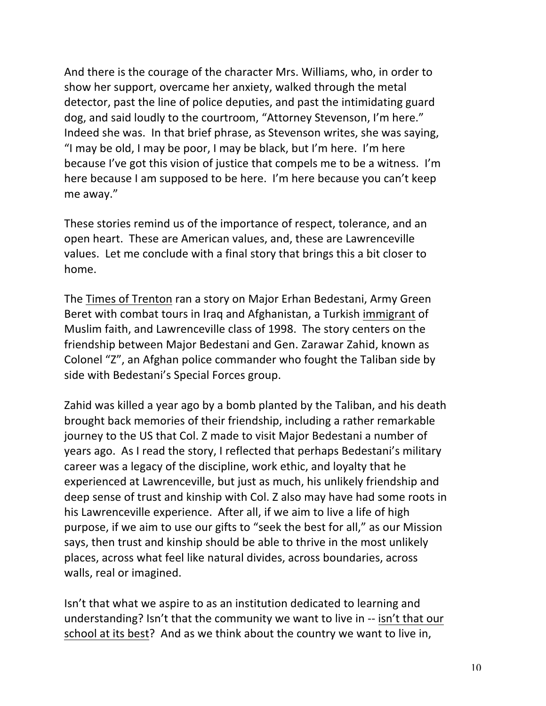And there is the courage of the character Mrs. Williams, who, in order to show her support, overcame her anxiety, walked through the metal detector, past the line of police deputies, and past the intimidating guard dog, and said loudly to the courtroom, "Attorney Stevenson, I'm here." Indeed she was. In that brief phrase, as Stevenson writes, she was saying, "I may be old, I may be poor, I may be black, but I'm here. I'm here because I've got this vision of justice that compels me to be a witness. I'm here because I am supposed to be here. I'm here because you can't keep me away."

These stories remind us of the importance of respect, tolerance, and an open heart. These are American values, and, these are Lawrenceville values. Let me conclude with a final story that brings this a bit closer to home. 

The Times of Trenton ran a story on Major Erhan Bedestani, Army Green Beret with combat tours in Iraq and Afghanistan, a Turkish immigrant of Muslim faith, and Lawrenceville class of 1998. The story centers on the friendship between Major Bedestani and Gen. Zarawar Zahid, known as Colonel "Z", an Afghan police commander who fought the Taliban side by side with Bedestani's Special Forces group.

Zahid was killed a year ago by a bomb planted by the Taliban, and his death brought back memories of their friendship, including a rather remarkable journey to the US that Col. Z made to visit Major Bedestani a number of years ago. As I read the story, I reflected that perhaps Bedestani's military career was a legacy of the discipline, work ethic, and loyalty that he experienced at Lawrenceville, but just as much, his unlikely friendship and deep sense of trust and kinship with Col. Z also may have had some roots in his Lawrenceville experience. After all, if we aim to live a life of high purpose, if we aim to use our gifts to "seek the best for all," as our Mission says, then trust and kinship should be able to thrive in the most unlikely places, across what feel like natural divides, across boundaries, across walls, real or imagined.

Isn't that what we aspire to as an institution dedicated to learning and understanding? Isn't that the community we want to live in -- isn't that our school at its best? And as we think about the country we want to live in,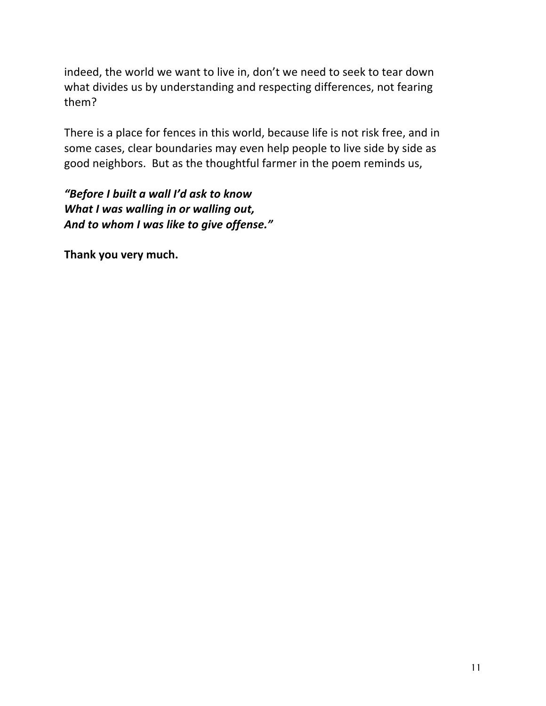indeed, the world we want to live in, don't we need to seek to tear down what divides us by understanding and respecting differences, not fearing them? 

There is a place for fences in this world, because life is not risk free, and in some cases, clear boundaries may even help people to live side by side as good neighbors. But as the thoughtful farmer in the poem reminds us,

*"Before I built a wall I'd ask to know What I was walling in or walling out,* And to whom I was like to give offense."

Thank you very much.